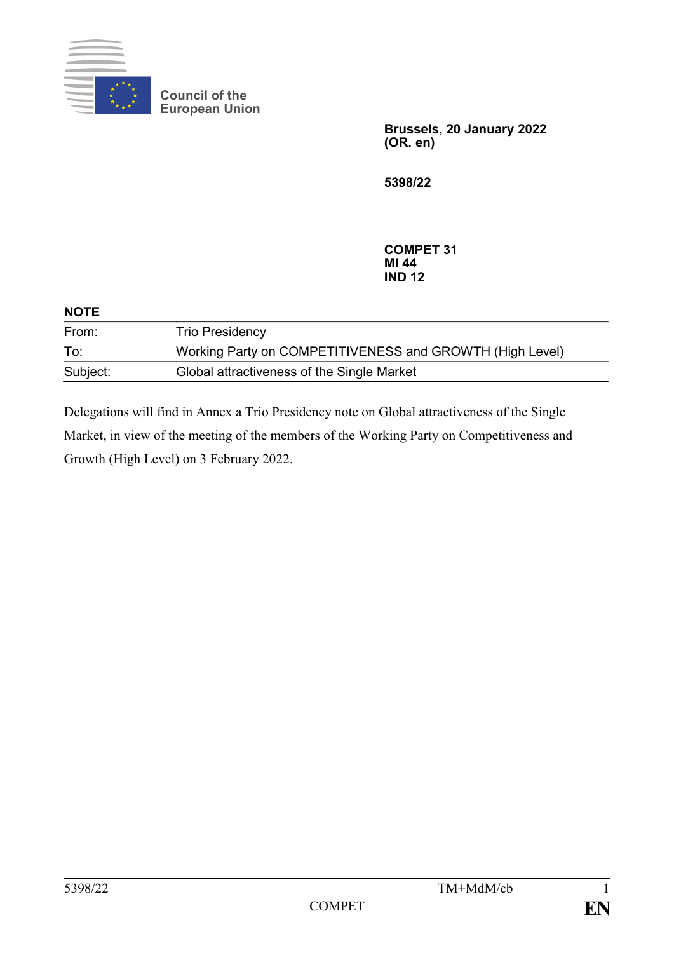

**Council of the European Union**

> **Brussels, 20 January 2022 (OR. en)**

**5398/22**

**COMPET 31 MI 44 IND 12**

| <b>NOTE</b> |                                                          |
|-------------|----------------------------------------------------------|
| From:       | <b>Trio Presidency</b>                                   |
| To:         | Working Party on COMPETITIVENESS and GROWTH (High Level) |
| Subject:    | Global attractiveness of the Single Market               |

Delegations will find in Annex a Trio Presidency note on Global attractiveness of the Single Market, in view of the meeting of the members of the Working Party on Competitiveness and Growth (High Level) on 3 February 2022.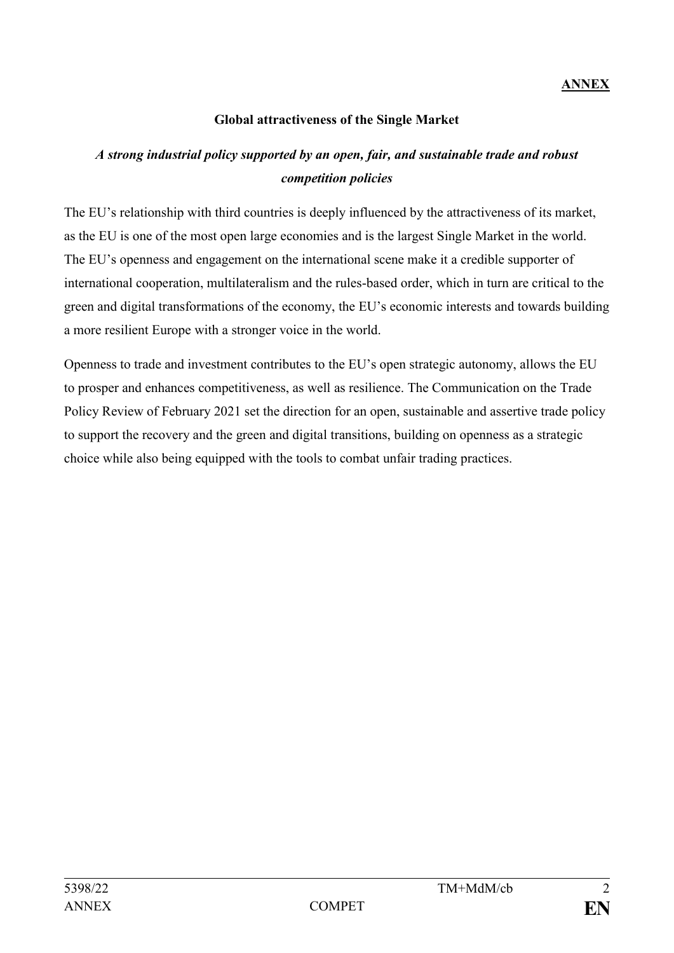## **Global attractiveness of the Single Market**

# *A strong industrial policy supported by an open, fair, and sustainable trade and robust competition policies*

The EU's relationship with third countries is deeply influenced by the attractiveness of its market, as the EU is one of the most open large economies and is the largest Single Market in the world. The EU's openness and engagement on the international scene make it a credible supporter of international cooperation, multilateralism and the rules-based order, which in turn are critical to the green and digital transformations of the economy, the EU's economic interests and towards building a more resilient Europe with a stronger voice in the world.

Openness to trade and investment contributes to the EU's open strategic autonomy, allows the EU to prosper and enhances competitiveness, as well as resilience. The Communication on the Trade Policy Review of February 2021 set the direction for an open, sustainable and assertive trade policy to support the recovery and the green and digital transitions, building on openness as a strategic choice while also being equipped with the tools to combat unfair trading practices.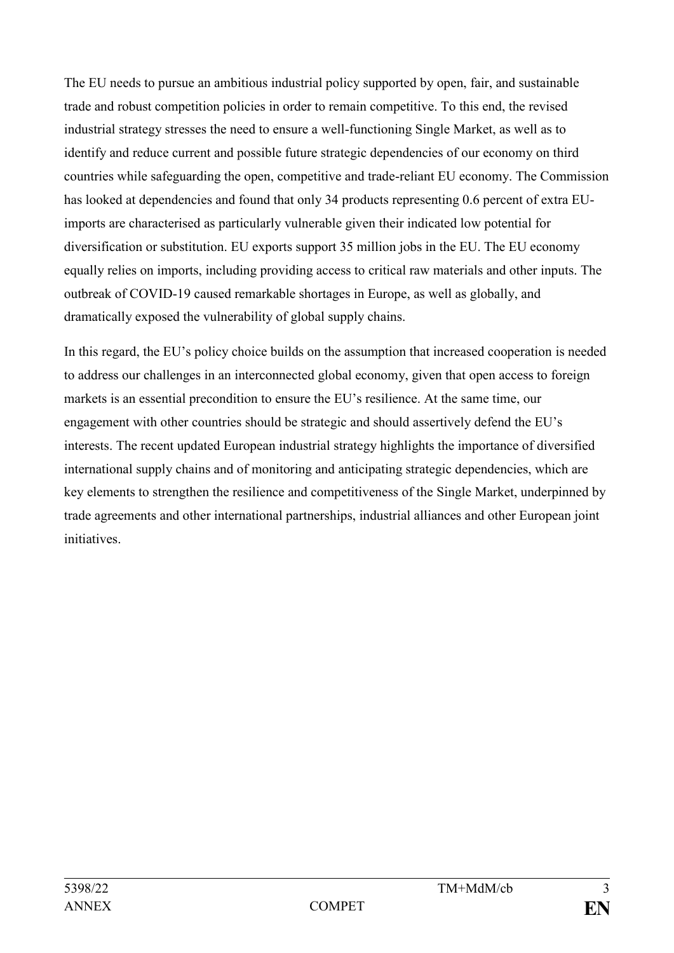The EU needs to pursue an ambitious industrial policy supported by open, fair, and sustainable trade and robust competition policies in order to remain competitive. To this end, the revised industrial strategy stresses the need to ensure a well-functioning Single Market, as well as to identify and reduce current and possible future strategic dependencies of our economy on third countries while safeguarding the open, competitive and trade-reliant EU economy. The Commission has looked at dependencies and found that only 34 products representing 0.6 percent of extra EUimports are characterised as particularly vulnerable given their indicated low potential for diversification or substitution. EU exports support 35 million jobs in the EU. The EU economy equally relies on imports, including providing access to critical raw materials and other inputs. The outbreak of COVID-19 caused remarkable shortages in Europe, as well as globally, and dramatically exposed the vulnerability of global supply chains.

In this regard, the EU's policy choice builds on the assumption that increased cooperation is needed to address our challenges in an interconnected global economy, given that open access to foreign markets is an essential precondition to ensure the EU's resilience. At the same time, our engagement with other countries should be strategic and should assertively defend the EU's interests. The recent updated European industrial strategy highlights the importance of diversified international supply chains and of monitoring and anticipating strategic dependencies, which are key elements to strengthen the resilience and competitiveness of the Single Market, underpinned by trade agreements and other international partnerships, industrial alliances and other European joint initiatives.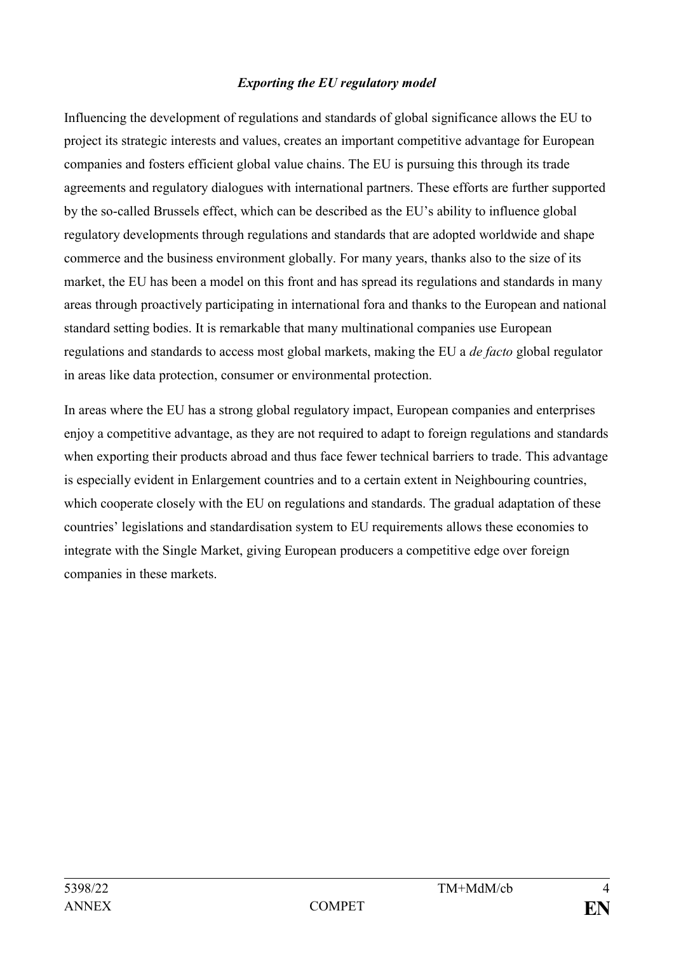#### *Exporting the EU regulatory model*

Influencing the development of regulations and standards of global significance allows the EU to project its strategic interests and values, creates an important competitive advantage for European companies and fosters efficient global value chains. The EU is pursuing this through its trade agreements and regulatory dialogues with international partners. These efforts are further supported by the so-called Brussels effect, which can be described as the EU's ability to influence global regulatory developments through regulations and standards that are adopted worldwide and shape commerce and the business environment globally. For many years, thanks also to the size of its market, the EU has been a model on this front and has spread its regulations and standards in many areas through proactively participating in international fora and thanks to the European and national standard setting bodies. It is remarkable that many multinational companies use European regulations and standards to access most global markets, making the EU a *de facto* global regulator in areas like data protection, consumer or environmental protection.

In areas where the EU has a strong global regulatory impact, European companies and enterprises enjoy a competitive advantage, as they are not required to adapt to foreign regulations and standards when exporting their products abroad and thus face fewer technical barriers to trade. This advantage is especially evident in Enlargement countries and to a certain extent in Neighbouring countries, which cooperate closely with the EU on regulations and standards. The gradual adaptation of these countries' legislations and standardisation system to EU requirements allows these economies to integrate with the Single Market, giving European producers a competitive edge over foreign companies in these markets.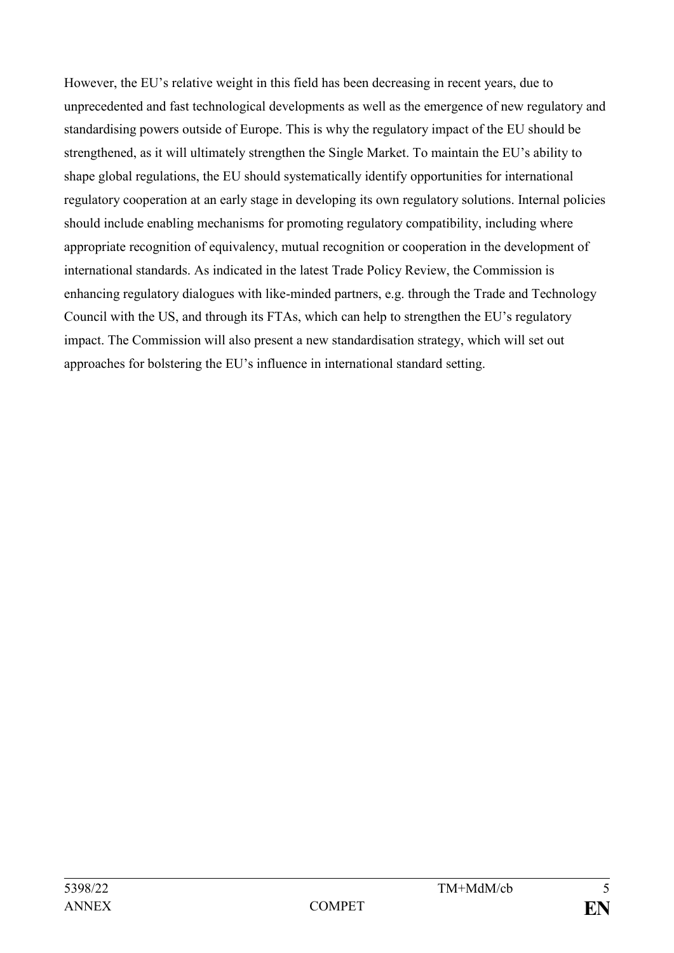However, the EU's relative weight in this field has been decreasing in recent years, due to unprecedented and fast technological developments as well as the emergence of new regulatory and standardising powers outside of Europe. This is why the regulatory impact of the EU should be strengthened, as it will ultimately strengthen the Single Market. To maintain the EU's ability to shape global regulations, the EU should systematically identify opportunities for international regulatory cooperation at an early stage in developing its own regulatory solutions. Internal policies should include enabling mechanisms for promoting regulatory compatibility, including where appropriate recognition of equivalency, mutual recognition or cooperation in the development of international standards. As indicated in the latest Trade Policy Review, the Commission is enhancing regulatory dialogues with like-minded partners, e.g. through the Trade and Technology Council with the US, and through its FTAs, which can help to strengthen the EU's regulatory impact. The Commission will also present a new standardisation strategy, which will set out approaches for bolstering the EU's influence in international standard setting.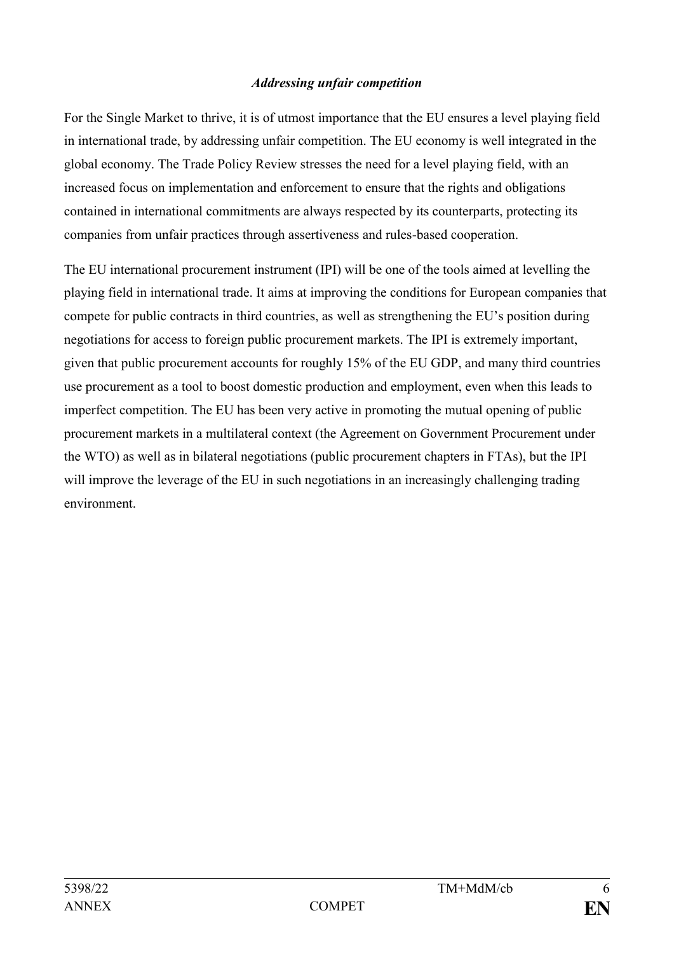#### *Addressing unfair competition*

For the Single Market to thrive, it is of utmost importance that the EU ensures a level playing field in international trade, by addressing unfair competition. The EU economy is well integrated in the global economy. The Trade Policy Review stresses the need for a level playing field, with an increased focus on implementation and enforcement to ensure that the rights and obligations contained in international commitments are always respected by its counterparts, protecting its companies from unfair practices through assertiveness and rules-based cooperation.

The EU international procurement instrument (IPI) will be one of the tools aimed at levelling the playing field in international trade. It aims at improving the conditions for European companies that compete for public contracts in third countries, as well as strengthening the EU's position during negotiations for access to foreign public procurement markets. The IPI is extremely important, given that public procurement accounts for roughly 15% of the EU GDP, and many third countries use procurement as a tool to boost domestic production and employment, even when this leads to imperfect competition. The EU has been very active in promoting the mutual opening of public procurement markets in a multilateral context (the Agreement on Government Procurement under the WTO) as well as in bilateral negotiations (public procurement chapters in FTAs), but the IPI will improve the leverage of the EU in such negotiations in an increasingly challenging trading environment.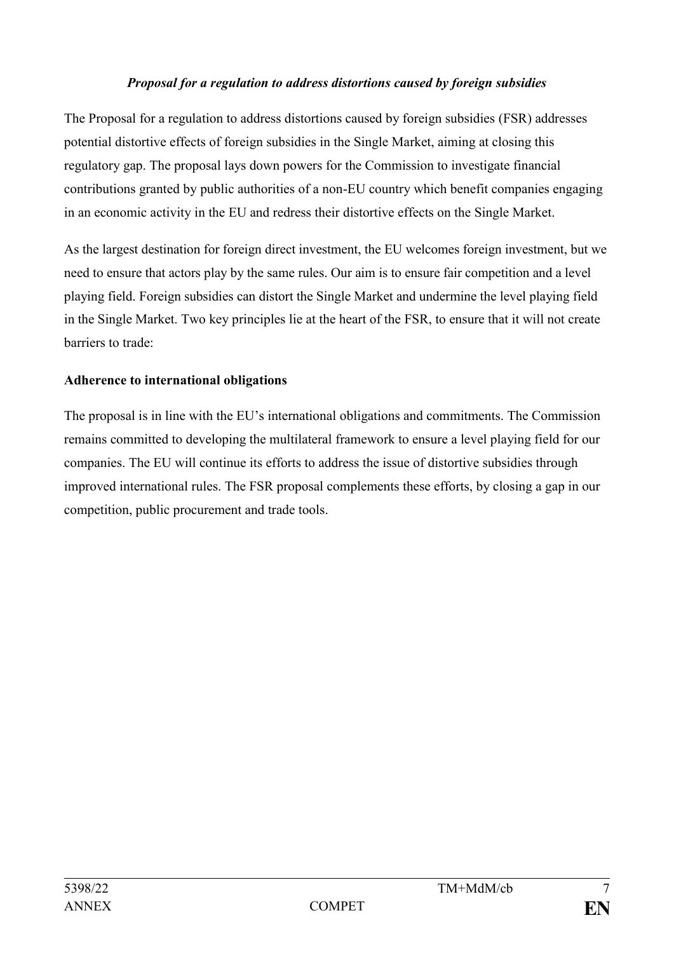#### *Proposal for a regulation to address distortions caused by foreign subsidies*

The Proposal for a regulation to address distortions caused by foreign subsidies (FSR) addresses potential distortive effects of foreign subsidies in the Single Market, aiming at closing this regulatory gap. The proposal lays down powers for the Commission to investigate financial contributions granted by public authorities of a non-EU country which benefit companies engaging in an economic activity in the EU and redress their distortive effects on the Single Market.

As the largest destination for foreign direct investment, the EU welcomes foreign investment, but we need to ensure that actors play by the same rules. Our aim is to ensure fair competition and a level playing field. Foreign subsidies can distort the Single Market and undermine the level playing field in the Single Market. Two key principles lie at the heart of the FSR, to ensure that it will not create barriers to trade:

# **Adherence to international obligations**

The proposal is in line with the EU's international obligations and commitments. The Commission remains committed to developing the multilateral framework to ensure a level playing field for our companies. The EU will continue its efforts to address the issue of distortive subsidies through improved international rules. The FSR proposal complements these efforts, by closing a gap in our competition, public procurement and trade tools.